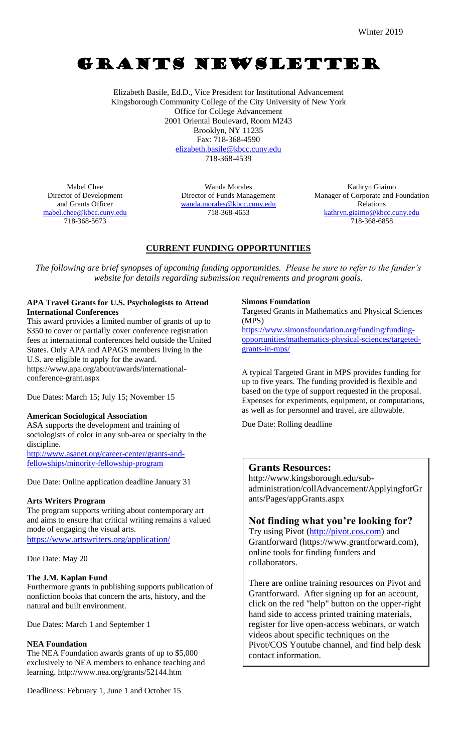# GRANTS NEWSLETTER

Elizabeth Basile, Ed.D., Vice President for Institutional Advancement Kingsborough Community College of the City University of New York Office for College Advancement 2001 Oriental Boulevard, Room M243 Brooklyn, NY 11235 Fax: 718-368-4590 [elizabeth.basile@kbcc.cuny.edu](mailto:elizabeth.basile@kbcc.cuny.edu) 718-368-4539

Mabel Chee Director of Development and Grants Officer [mabel.chee@kbcc.cuny.edu](mailto:mabel.chee@kbcc.cuny.edu) 718-368-5673

Wanda Morales Director of Funds Management [wanda.morales@kbcc.cuny.edu](mailto:wanda.morales@kbcc.cuny.edu) 718-368-4653

Kathryn Giaimo Manager of Corporate and Foundation Relations [kathryn.giaimo@kbcc.cuny.edu](mailto:kathryn.giaimo@kbcc.cuny.edu) 718-368-6858

# **CURRENT FUNDING OPPORTUNITIES**

*The following are brief synopses of upcoming funding opportunities. Please be sure to refer to the funder's website for details regarding submission requirements and program goals.*

### **APA Travel Grants for U.S. Psychologists to Attend International Conferences**

This award provides a limited number of grants of up to \$350 to cover or partially cover conference registration fees at international conferences held outside the United States. Only APA and APAGS members living in the U.S. are eligible to apply for the award. https://www.apa.org/about/awards/internationalconference-grant.aspx

Due Dates: March 15; July 15; November 15

### **American Sociological Association**

ASA supports the development and training of sociologists of color in any sub-area or specialty in the discipline. [http://www.asanet.org/career-center/grants-and](http://www.asanet.org/career-center/grants-and-fellowships/minority-fellowship-program)[fellowships/minority-fellowship-program](http://www.asanet.org/career-center/grants-and-fellowships/minority-fellowship-program)

Due Date: Online application deadline January 31

### **Arts Writers Program**

The program supports writing about contemporary art and aims to ensure that critical writing remains a valued mode of engaging the visual arts. <https://www.artswriters.org/application/>

Due Date: May 20

### **The J.M. Kaplan Fund**

Furthermore grants in publishing supports publication of nonfiction books that concern the arts, history, and the natural and built environment.

Due Dates: March 1 and September 1

### **NEA Foundation**

The NEA Foundation awards grants of up to \$5,000 exclusively to NEA members to enhance teaching and learning. http://www.nea.org/grants/52144.htm

Deadliness: February 1, June 1 and October 15

### **Simons Foundation**

Targeted Grants in Mathematics and Physical Sciences (MPS)

[https://www.simonsfoundation.org/funding/funding](https://www.simonsfoundation.org/funding/funding-opportunities/mathematics-physical-sciences/targeted-grants-in-mps/)[opportunities/mathematics-physical-sciences/targeted](https://www.simonsfoundation.org/funding/funding-opportunities/mathematics-physical-sciences/targeted-grants-in-mps/)[grants-in-mps/](https://www.simonsfoundation.org/funding/funding-opportunities/mathematics-physical-sciences/targeted-grants-in-mps/)

A typical Targeted Grant in MPS provides funding for up to five years. The funding provided is flexible and based on the type of support requested in the proposal. Expenses for experiments, equipment, or computations, as well as for personnel and travel, are allowable.

Due Date: Rolling deadline

### **Grants Resources:**

http://www.kingsborough.edu/subadministration/collAdvancement/ApplyingforGr ants/Pages/appGrants.aspx

## **Not finding what you're looking for?**

Try using Pivot [\(http://pivot.cos.com\)](http://pivot.cos.com/) and Grantforward (https://www.grantforward.com), online tools for finding funders and collaborators.

There are online training resources on Pivot and Grantforward. After signing up for an account, click on the red "help" button on the upper-right hand side to access printed training materials, register for live open-access webinars, or watch videos about specific techniques on the Pivot/COS Youtube channel, and find help desk contact information.